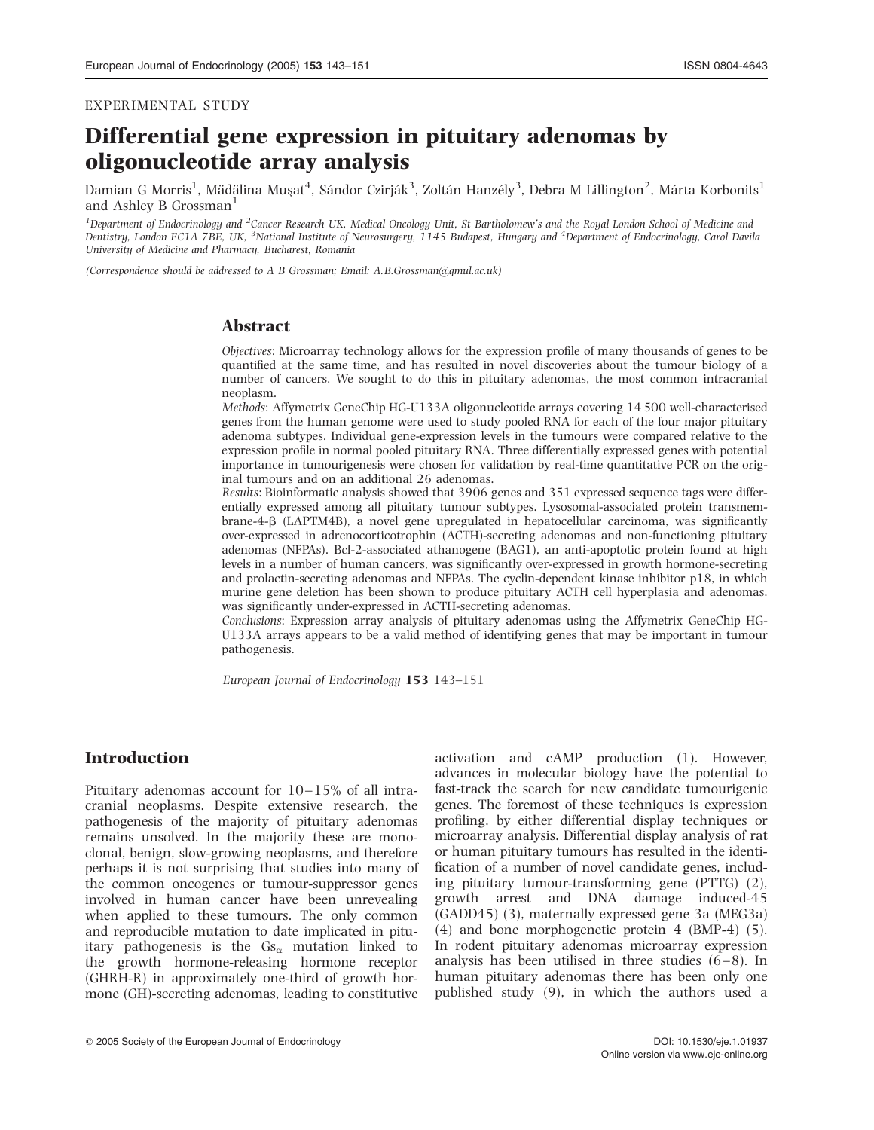#### EXPERIMENTAL STUDY

# Differential gene expression in pituitary adenomas by oligonucleotide array analysis

Damian G Morris<sup>1</sup>, Mädälina Muşat<sup>4</sup>, Sándor Czirják<sup>3</sup>, Zoltán Hanzély<sup>3</sup>, Debra M Lillington<sup>2</sup>, Márta Korbonits<sup>1</sup> and Ashley B Grossman<sup>1</sup>

<sup>1</sup>Department of Endocrinology and <sup>2</sup>Cancer Research UK, Medical Oncology Unit, St Bartholomew's and the Royal London School of Medicine and Dentistry, London EC1A 7BE, UK, <sup>3</sup>National Institute of Neurosurgery, 1145 Budapest, Hungary and <sup>4</sup>Department of Endocrinology, Carol Davila University of Medicine and Pharmacy, Bucharest, Romania

(Correspondence should be addressed to A B Grossman; Email: A.B.Grossman@qmul.ac.uk)

### Abstract

Objectives: Microarray technology allows for the expression profile of many thousands of genes to be quantified at the same time, and has resulted in novel discoveries about the tumour biology of a number of cancers. We sought to do this in pituitary adenomas, the most common intracranial neoplasm.

Methods: Affymetrix GeneChip HG-U133A oligonucleotide arrays covering 14 500 well-characterised genes from the human genome were used to study pooled RNA for each of the four major pituitary adenoma subtypes. Individual gene-expression levels in the tumours were compared relative to the expression profile in normal pooled pituitary RNA. Three differentially expressed genes with potential importance in tumourigenesis were chosen for validation by real-time quantitative PCR on the original tumours and on an additional 26 adenomas.

Results: Bioinformatic analysis showed that 3906 genes and 351 expressed sequence tags were differentially expressed among all pituitary tumour subtypes. Lysosomal-associated protein transmembrane-4-b (LAPTM4B), a novel gene upregulated in hepatocellular carcinoma, was significantly over-expressed in adrenocorticotrophin (ACTH)-secreting adenomas and non-functioning pituitary adenomas (NFPAs). Bcl-2-associated athanogene (BAG1), an anti-apoptotic protein found at high levels in a number of human cancers, was significantly over-expressed in growth hormone-secreting and prolactin-secreting adenomas and NFPAs. The cyclin-dependent kinase inhibitor p18, in which murine gene deletion has been shown to produce pituitary ACTH cell hyperplasia and adenomas, was significantly under-expressed in ACTH-secreting adenomas.

Conclusions: Expression array analysis of pituitary adenomas using the Affymetrix GeneChip HG-U133A arrays appears to be a valid method of identifying genes that may be important in tumour pathogenesis.

European Journal of Endocrinology 153 143–151

### Introduction

Pituitary adenomas account for 10–15% of all intracranial neoplasms. Despite extensive research, the pathogenesis of the majority of pituitary adenomas remains unsolved. In the majority these are monoclonal, benign, slow-growing neoplasms, and therefore perhaps it is not surprising that studies into many of the common oncogenes or tumour-suppressor genes involved in human cancer have been unrevealing when applied to these tumours. The only common and reproducible mutation to date implicated in pituitary pathogenesis is the  $\text{Gs}_{\alpha}$  mutation linked to the growth hormone-releasing hormone receptor (GHRH-R) in approximately one-third of growth hormone (GH)-secreting adenomas, leading to constitutive activation and cAMP production (1). However, advances in molecular biology have the potential to fast-track the search for new candidate tumourigenic genes. The foremost of these techniques is expression profiling, by either differential display techniques or microarray analysis. Differential display analysis of rat or human pituitary tumours has resulted in the identification of a number of novel candidate genes, including pituitary tumour-transforming gene (PTTG) (2), growth arrest and DNA damage induced-45 (GADD45) (3), maternally expressed gene 3a (MEG3a) (4) and bone morphogenetic protein 4 (BMP-4) (5). In rodent pituitary adenomas microarray expression analysis has been utilised in three studies  $(6-8)$ . In human pituitary adenomas there has been only one published study (9), in which the authors used a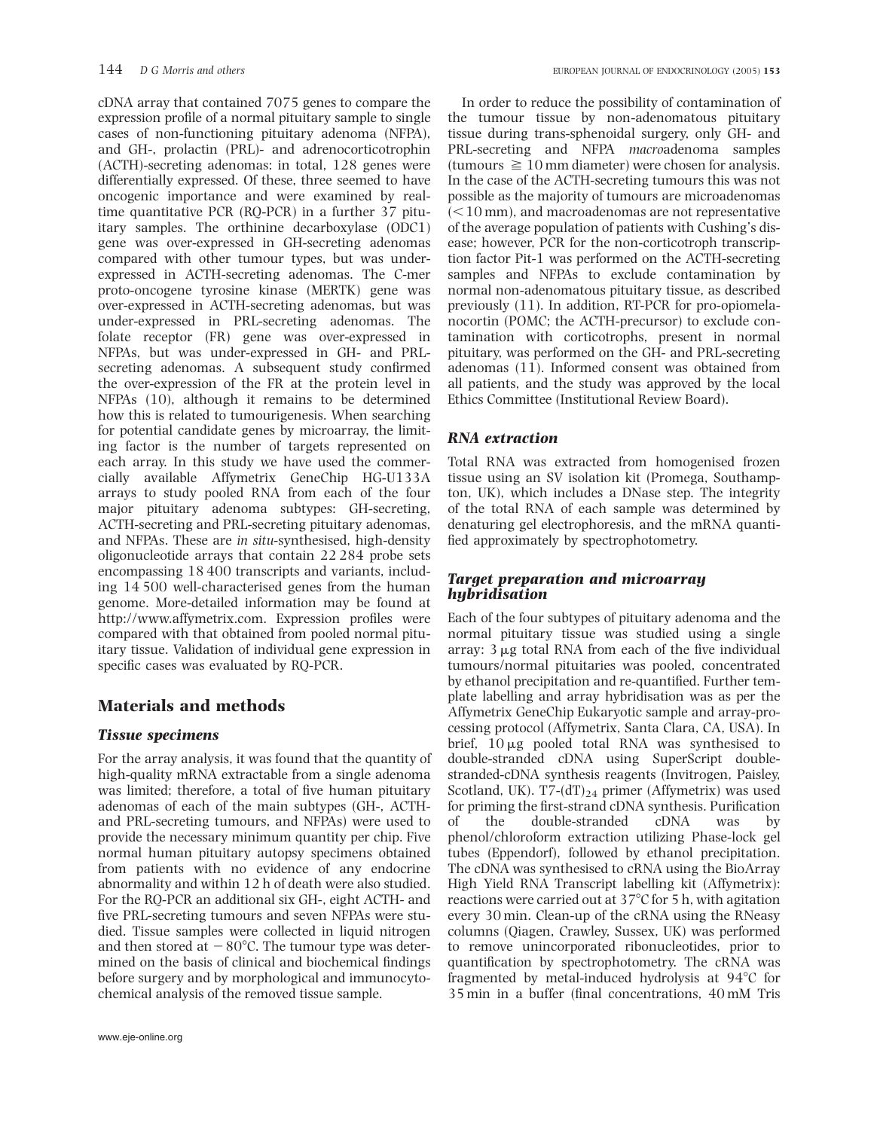cDNA array that contained 7075 genes to compare the expression profile of a normal pituitary sample to single cases of non-functioning pituitary adenoma (NFPA), and GH-, prolactin (PRL)- and adrenocorticotrophin (ACTH)-secreting adenomas: in total, 128 genes were differentially expressed. Of these, three seemed to have oncogenic importance and were examined by realtime quantitative PCR (RQ-PCR) in a further 37 pituitary samples. The orthinine decarboxylase (ODC1) gene was over-expressed in GH-secreting adenomas compared with other tumour types, but was underexpressed in ACTH-secreting adenomas. The C-mer proto-oncogene tyrosine kinase (MERTK) gene was over-expressed in ACTH-secreting adenomas, but was under-expressed in PRL-secreting adenomas. The folate receptor (FR) gene was over-expressed in NFPAs, but was under-expressed in GH- and PRLsecreting adenomas. A subsequent study confirmed the over-expression of the FR at the protein level in NFPAs (10), although it remains to be determined how this is related to tumourigenesis. When searching for potential candidate genes by microarray, the limiting factor is the number of targets represented on each array. In this study we have used the commercially available Affymetrix GeneChip HG-U133A arrays to study pooled RNA from each of the four major pituitary adenoma subtypes: GH-secreting, ACTH-secreting and PRL-secreting pituitary adenomas, and NFPAs. These are in situ-synthesised, high-density oligonucleotide arrays that contain 22 284 probe sets encompassing 18 400 transcripts and variants, including 14 500 well-characterised genes from the human genome. More-detailed information may be found at http://www.affymetrix.com. Expression profiles were compared with that obtained from pooled normal pituitary tissue. Validation of individual gene expression in specific cases was evaluated by RQ-PCR.

# Materials and methods

# Tissue specimens

For the array analysis, it was found that the quantity of high-quality mRNA extractable from a single adenoma was limited; therefore, a total of five human pituitary adenomas of each of the main subtypes (GH-, ACTHand PRL-secreting tumours, and NFPAs) were used to provide the necessary minimum quantity per chip. Five normal human pituitary autopsy specimens obtained from patients with no evidence of any endocrine abnormality and within 12 h of death were also studied. For the RQ-PCR an additional six GH-, eight ACTH- and five PRL-secreting tumours and seven NFPAs were studied. Tissue samples were collected in liquid nitrogen and then stored at  $-80^{\circ}$ C. The tumour type was determined on the basis of clinical and biochemical findings before surgery and by morphological and immunocytochemical analysis of the removed tissue sample.

In order to reduce the possibility of contamination of the tumour tissue by non-adenomatous pituitary tissue during trans-sphenoidal surgery, only GH- and PRL-secreting and NFPA macroadenoma samples (tumours  $\geq 10$  mm diameter) were chosen for analysis. In the case of the ACTH-secreting tumours this was not possible as the majority of tumours are microadenomas  $(<$ 10 mm), and macroadenomas are not representative of the average population of patients with Cushing's disease; however, PCR for the non-corticotroph transcription factor Pit-1 was performed on the ACTH-secreting samples and NFPAs to exclude contamination by normal non-adenomatous pituitary tissue, as described previously (11). In addition, RT-PCR for pro-opiomelanocortin (POMC; the ACTH-precursor) to exclude contamination with corticotrophs, present in normal pituitary, was performed on the GH- and PRL-secreting adenomas (11). Informed consent was obtained from all patients, and the study was approved by the local Ethics Committee (Institutional Review Board).

### RNA extraction

Total RNA was extracted from homogenised frozen tissue using an SV isolation kit (Promega, Southampton, UK), which includes a DNase step. The integrity of the total RNA of each sample was determined by denaturing gel electrophoresis, and the mRNA quantified approximately by spectrophotometry.

### Target preparation and microarray hybridisation

Each of the four subtypes of pituitary adenoma and the normal pituitary tissue was studied using a single array:  $3 \mu$ g total RNA from each of the five individual tumours/normal pituitaries was pooled, concentrated by ethanol precipitation and re-quantified. Further template labelling and array hybridisation was as per the Affymetrix GeneChip Eukaryotic sample and array-processing protocol (Affymetrix, Santa Clara, CA, USA). In brief,  $10 \mu g$  pooled total RNA was synthesised to double-stranded cDNA using SuperScript doublestranded-cDNA synthesis reagents (Invitrogen, Paisley, Scotland, UK). T7- $(dT)_{24}$  primer (Affymetrix) was used for priming the first-strand cDNA synthesis. Purification of the double-stranded cDNA was by phenol/chloroform extraction utilizing Phase-lock gel tubes (Eppendorf), followed by ethanol precipitation. The cDNA was synthesised to cRNA using the BioArray High Yield RNA Transcript labelling kit (Affymetrix): reactions were carried out at  $37^{\circ}$ C for 5 h, with agitation every 30 min. Clean-up of the cRNA using the RNeasy columns (Qiagen, Crawley, Sussex, UK) was performed to remove unincorporated ribonucleotides, prior to quantification by spectrophotometry. The cRNA was fragmented by metal-induced hydrolysis at  $94^{\circ}$ C for 35 min in a buffer (final concentrations, 40 mM Tris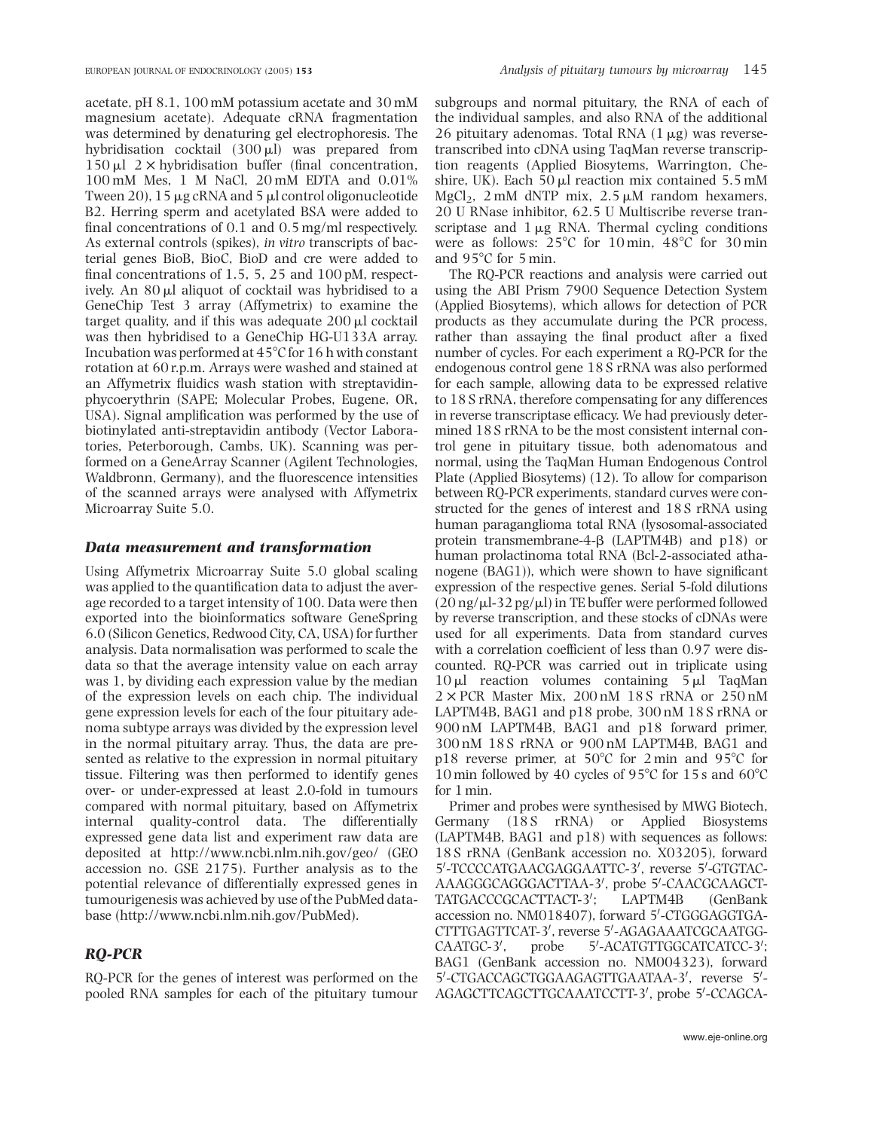acetate, pH 8.1, 100 mM potassium acetate and 30 mM magnesium acetate). Adequate cRNA fragmentation was determined by denaturing gel electrophoresis. The hybridisation cocktail  $(300 \,\mu\text{I})$  was prepared from  $150 \mu l$  2  $\times$  hybridisation buffer (final concentration, 100 mM Mes, 1 M NaCl, 20 mM EDTA and 0.01% Tween 20),  $15 \mu$ g cRNA and 5  $\mu$ l control oligonucleotide B2. Herring sperm and acetylated BSA were added to final concentrations of 0.1 and 0.5 mg/ml respectively. As external controls (spikes), in vitro transcripts of bacterial genes BioB, BioC, BioD and cre were added to final concentrations of 1.5, 5, 25 and 100 pM, respectively. An  $80 \mu l$  aliquot of cocktail was hybridised to a GeneChip Test 3 array (Affymetrix) to examine the target quality, and if this was adequate  $200 \mu l$  cocktail was then hybridised to a GeneChip HG-U133A array. Incubation was performed at  $45^{\circ}$ C for 16 h with constant rotation at 60 r.p.m. Arrays were washed and stained at an Affymetrix fluidics wash station with streptavidinphycoerythrin (SAPE; Molecular Probes, Eugene, OR, USA). Signal amplification was performed by the use of biotinylated anti-streptavidin antibody (Vector Laboratories, Peterborough, Cambs, UK). Scanning was performed on a GeneArray Scanner (Agilent Technologies, Waldbronn, Germany), and the fluorescence intensities of the scanned arrays were analysed with Affymetrix Microarray Suite 5.0.

#### Data measurement and transformation

Using Affymetrix Microarray Suite 5.0 global scaling was applied to the quantification data to adjust the average recorded to a target intensity of 100. Data were then exported into the bioinformatics software GeneSpring 6.0 (Silicon Genetics, Redwood City, CA, USA) for further analysis. Data normalisation was performed to scale the data so that the average intensity value on each array was 1, by dividing each expression value by the median of the expression levels on each chip. The individual gene expression levels for each of the four pituitary adenoma subtype arrays was divided by the expression level in the normal pituitary array. Thus, the data are presented as relative to the expression in normal pituitary tissue. Filtering was then performed to identify genes over- or under-expressed at least 2.0-fold in tumours compared with normal pituitary, based on Affymetrix internal quality-control data. The differentially expressed gene data list and experiment raw data are deposited at http://www.ncbi.nlm.nih.gov/geo/ (GEO accession no. GSE 2175). Further analysis as to the potential relevance of differentially expressed genes in tumourigenesis was achieved by use of the PubMed database (http://www.ncbi.nlm.nih.gov/PubMed).

### RQ-PCR

RQ-PCR for the genes of interest was performed on the pooled RNA samples for each of the pituitary tumour

subgroups and normal pituitary, the RNA of each of the individual samples, and also RNA of the additional 26 pituitary adenomas. Total RNA  $(1 \mu g)$  was reversetranscribed into cDNA using TaqMan reverse transcription reagents (Applied Biosytems, Warrington, Cheshire, UK). Each  $50 \mu l$  reaction mix contained  $5.5 \text{ mM}$ MgCl<sub>2</sub>, 2 mM dNTP mix, 2.5  $\mu$ M random hexamers, 20 U RNase inhibitor, 62.5 U Multiscribe reverse transcriptase and  $1 \mu$ g RNA. Thermal cycling conditions were as follows:  $25^{\circ}$ C for  $10$  min,  $48^{\circ}$ C for  $30$  min and  $95^{\circ}$ C for 5 min.

The RQ-PCR reactions and analysis were carried out using the ABI Prism 7900 Sequence Detection System (Applied Biosytems), which allows for detection of PCR products as they accumulate during the PCR process, rather than assaying the final product after a fixed number of cycles. For each experiment a RQ-PCR for the endogenous control gene 18 S rRNA was also performed for each sample, allowing data to be expressed relative to 18 S rRNA, therefore compensating for any differences in reverse transcriptase efficacy. We had previously determined 18 S rRNA to be the most consistent internal control gene in pituitary tissue, both adenomatous and normal, using the TaqMan Human Endogenous Control Plate (Applied Biosytems) (12). To allow for comparison between RQ-PCR experiments, standard curves were constructed for the genes of interest and 18 S rRNA using human paraganglioma total RNA (lysosomal-associated protein transmembrane-4-b (LAPTM4B) and p18) or human prolactinoma total RNA (Bcl-2-associated athanogene (BAG1)), which were shown to have significant expression of the respective genes. Serial 5-fold dilutions  $(20 \text{ ng/µl-32 pg/µl})$  in TE buffer were performed followed by reverse transcription, and these stocks of cDNAs were used for all experiments. Data from standard curves with a correlation coefficient of less than 0.97 were discounted. RQ-PCR was carried out in triplicate using  $10 \mu l$  reaction volumes containing  $5 \mu l$  TaqMan  $2 \times PCR$  Master Mix,  $200 \text{ nM}$  18 S rRNA or  $250 \text{ nM}$ LAPTM4B, BAG1 and p18 probe, 300 nM 18 S rRNA or 900 nM LAPTM4B, BAG1 and p18 forward primer, 300 nM 18 S rRNA or 900 nM LAPTM4B, BAG1 and p18 reverse primer, at  $50^{\circ}$ C for 2 min and 95 $^{\circ}$ C for 10 min followed by 40 cycles of 95 $\degree$ C for 15 s and 60 $\degree$ C for 1 min.

Primer and probes were synthesised by MWG Biotech, Germany (18S rRNA) or Applied Biosystems (LAPTM4B, BAG1 and p18) with sequences as follows: 18 S rRNA (GenBank accession no. X03205), forward 5'-TCCCCATGAACGAGGAATTC-3', reverse 5'-GTGTAC-AAAGGGCAGGGACTTAA-3', probe 5'-CAACGCAAGCT-TATGACCCGCACTTACT-3': ; LAPTM4B (GenBank accession no. NM018407), forward 5'-CTGGGAGGTGA-CTTTGAGTTCAT-3', reverse 5'-AGAGAAATCGCAATGG-CAATGC-3', probe -ACATGTTGGCATCATCC-3'; BAG1 (GenBank accession no. NM004323), forward 5'-CTGACCAGCTGGAAGAGTTGAATAA-3', reverse 5'-AGAGCTTCAGCTTGCAAATCCTT-3', probe 5'-CCAGCA-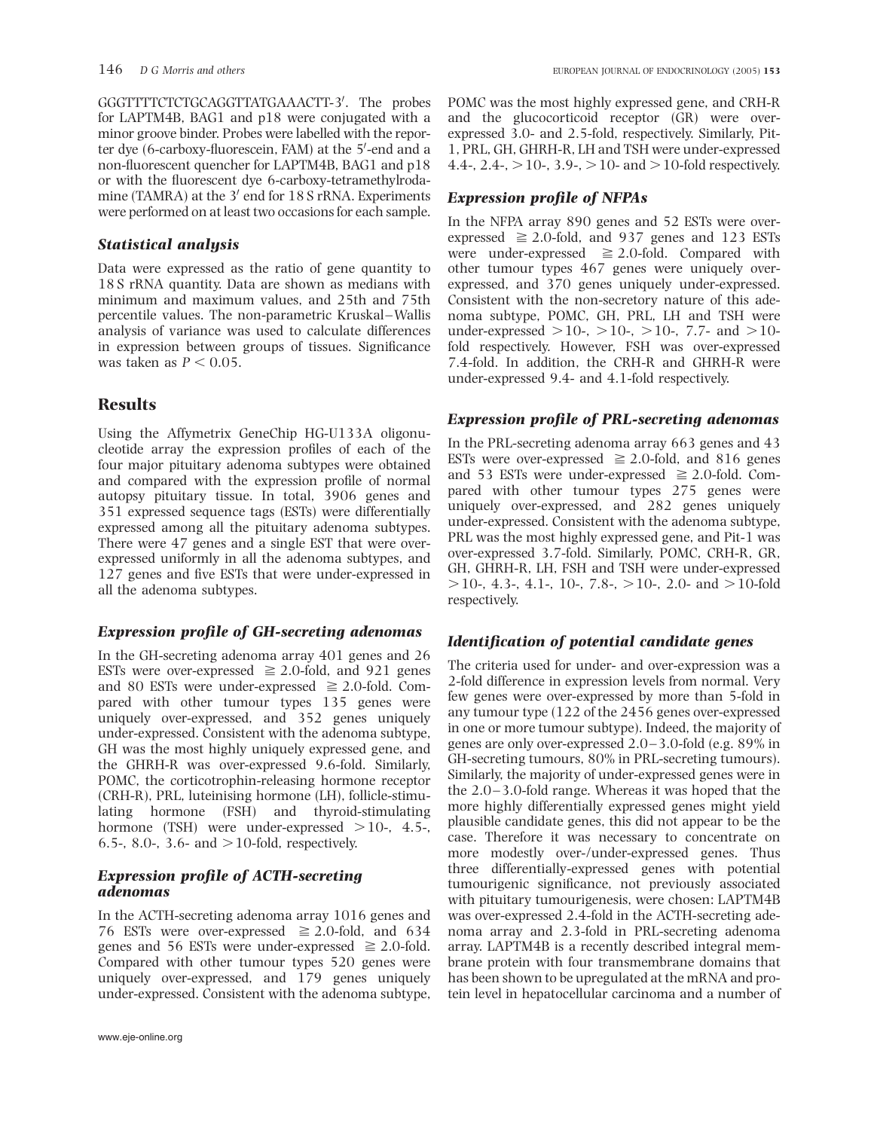GGGTTTTCTCTGCAGGTTATGAAACTT-3'. The probes for LAPTM4B, BAG1 and p18 were conjugated with a minor groove binder. Probes were labelled with the reporter dye (6-carboxy-fluorescein, FAM) at the 5'-end and a non-fluorescent quencher for LAPTM4B, BAG1 and p18 or with the fluorescent dye 6-carboxy-tetramethylrodamine (TAMRA) at the  $3'$  end for  $18 S$  rRNA. Experiments were performed on at least two occasions for each sample.

# Statistical analysis

Data were expressed as the ratio of gene quantity to 18 S rRNA quantity. Data are shown as medians with minimum and maximum values, and 25th and 75th percentile values. The non-parametric Kruskal–Wallis analysis of variance was used to calculate differences in expression between groups of tissues. Significance was taken as  $P < 0.05$ .

# Results

Using the Affymetrix GeneChip HG-U133A oligonucleotide array the expression profiles of each of the four major pituitary adenoma subtypes were obtained and compared with the expression profile of normal autopsy pituitary tissue. In total, 3906 genes and 351 expressed sequence tags (ESTs) were differentially expressed among all the pituitary adenoma subtypes. There were 47 genes and a single EST that were overexpressed uniformly in all the adenoma subtypes, and 127 genes and five ESTs that were under-expressed in all the adenoma subtypes.

# Expression profile of GH-secreting adenomas

In the GH-secreting adenoma array 401 genes and 26 ESTs were over-expressed  $\geq$  2.0-fold, and 921 genes and 80 ESTs were under-expressed  $\geq$  2.0-fold. Compared with other tumour types 135 genes were uniquely over-expressed, and 352 genes uniquely under-expressed. Consistent with the adenoma subtype, GH was the most highly uniquely expressed gene, and the GHRH-R was over-expressed 9.6-fold. Similarly, POMC, the corticotrophin-releasing hormone receptor (CRH-R), PRL, luteinising hormone (LH), follicle-stimulating hormone (FSH) and thyroid-stimulating hormone (TSH) were under-expressed  $>10$ -, 4.5-6.5-, 8.0-, 3.6- and  $>10$ -fold, respectively.

### Expression profile of ACTH-secreting adenomas

In the ACTH-secreting adenoma array 1016 genes and 76 ESTs were over-expressed  $\geq 2.0$ -fold, and 634 genes and 56 ESTs were under-expressed  $\geq 2.0$ -fold. Compared with other tumour types 520 genes were uniquely over-expressed, and 179 genes uniquely under-expressed. Consistent with the adenoma subtype, POMC was the most highly expressed gene, and CRH-R and the glucocorticoid receptor (GR) were overexpressed 3.0- and 2.5-fold, respectively. Similarly, Pit-1, PRL, GH, GHRH-R, LH and TSH were under-expressed 4.4-, 2.4-,  $>$  10-, 3.9-,  $>$  10- and  $>$  10-fold respectively.

## Expression profile of NFPAs

In the NFPA array 890 genes and 52 ESTs were overexpressed  $\geq$  2.0-fold, and 937 genes and 123 ESTs were under-expressed  $\geq$  2.0-fold. Compared with other tumour types 467 genes were uniquely overexpressed, and 370 genes uniquely under-expressed. Consistent with the non-secretory nature of this adenoma subtype, POMC, GH, PRL, LH and TSH were under-expressed  $>10$ -,  $>10$ -,  $>10$ -, 7.7- and  $>10$ fold respectively. However, FSH was over-expressed 7.4-fold. In addition, the CRH-R and GHRH-R were under-expressed 9.4- and 4.1-fold respectively.

# Expression profile of PRL-secreting adenomas

In the PRL-secreting adenoma array 663 genes and 43 ESTs were over-expressed  $\geq$  2.0-fold, and 816 genes and 53 ESTs were under-expressed  $\geq 2.0$ -fold. Compared with other tumour types 275 genes were uniquely over-expressed, and 282 genes uniquely under-expressed. Consistent with the adenoma subtype, PRL was the most highly expressed gene, and Pit-1 was over-expressed 3.7-fold. Similarly, POMC, CRH-R, GR, GH, GHRH-R, LH, FSH and TSH were under-expressed  $>$ 10-, 4.3-, 4.1-, 10-, 7.8-,  $>$  10-, 2.0- and  $>$  10-fold respectively.

# Identification of potential candidate genes

The criteria used for under- and over-expression was a 2-fold difference in expression levels from normal. Very few genes were over-expressed by more than 5-fold in any tumour type (122 of the 2456 genes over-expressed in one or more tumour subtype). Indeed, the majority of genes are only over-expressed 2.0 –3.0-fold (e.g. 89% in GH-secreting tumours, 80% in PRL-secreting tumours). Similarly, the majority of under-expressed genes were in the 2.0 –3.0-fold range. Whereas it was hoped that the more highly differentially expressed genes might yield plausible candidate genes, this did not appear to be the case. Therefore it was necessary to concentrate on more modestly over-/under-expressed genes. Thus three differentially-expressed genes with potential tumourigenic significance, not previously associated with pituitary tumourigenesis, were chosen: LAPTM4B was over-expressed 2.4-fold in the ACTH-secreting adenoma array and 2.3-fold in PRL-secreting adenoma array. LAPTM4B is a recently described integral membrane protein with four transmembrane domains that has been shown to be upregulated at the mRNA and protein level in hepatocellular carcinoma and a number of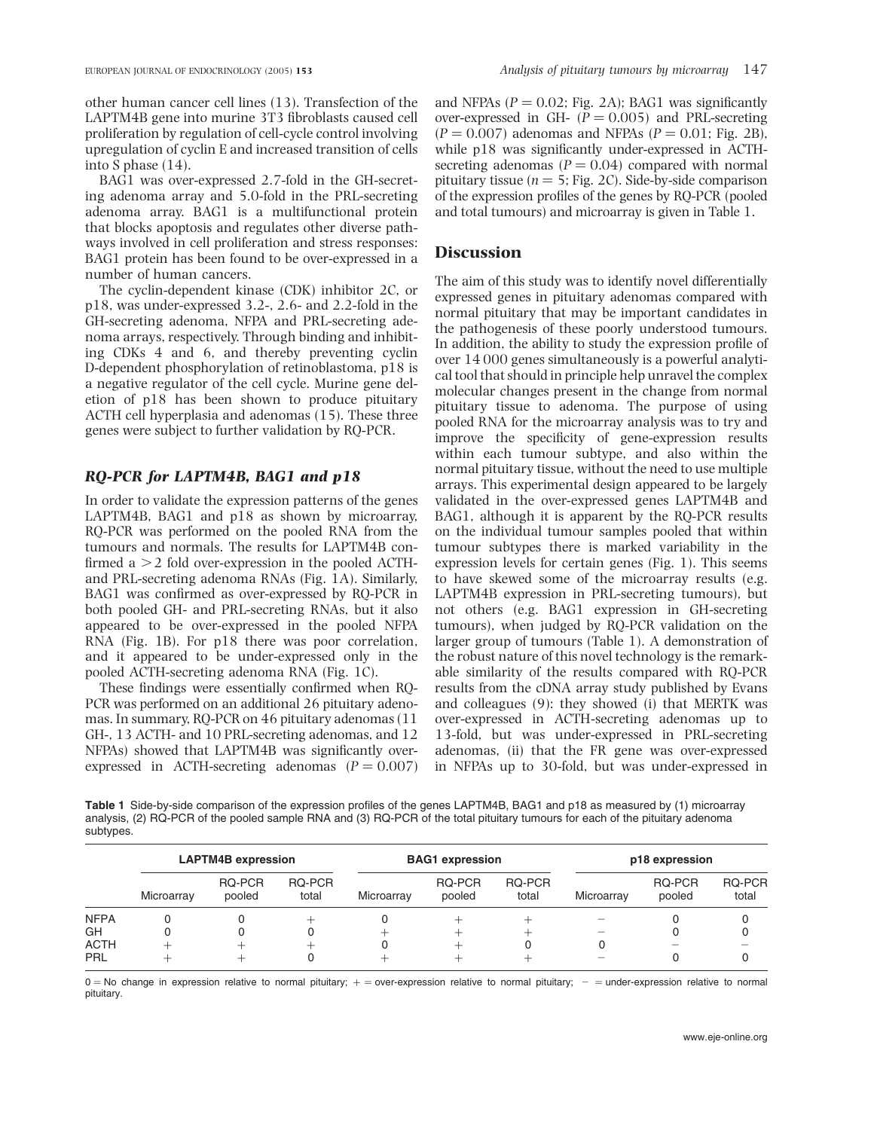other human cancer cell lines (13). Transfection of the LAPTM4B gene into murine 3T3 fibroblasts caused cell proliferation by regulation of cell-cycle control involving upregulation of cyclin E and increased transition of cells into S phase (14).

BAG1 was over-expressed 2.7-fold in the GH-secreting adenoma array and 5.0-fold in the PRL-secreting adenoma array. BAG1 is a multifunctional protein that blocks apoptosis and regulates other diverse pathways involved in cell proliferation and stress responses: BAG1 protein has been found to be over-expressed in a number of human cancers.

The cyclin-dependent kinase (CDK) inhibitor 2C, or p18, was under-expressed 3.2-, 2.6- and 2.2-fold in the GH-secreting adenoma, NFPA and PRL-secreting adenoma arrays, respectively. Through binding and inhibiting CDKs 4 and 6, and thereby preventing cyclin D-dependent phosphorylation of retinoblastoma, p18 is a negative regulator of the cell cycle. Murine gene deletion of p18 has been shown to produce pituitary ACTH cell hyperplasia and adenomas (15). These three genes were subject to further validation by RQ-PCR.

#### RQ-PCR for LAPTM4B, BAG1 and p18

In order to validate the expression patterns of the genes LAPTM4B, BAG1 and p18 as shown by microarray, RQ-PCR was performed on the pooled RNA from the tumours and normals. The results for LAPTM4B confirmed a  $>$  2 fold over-expression in the pooled ACTHand PRL-secreting adenoma RNAs (Fig. 1A). Similarly, BAG1 was confirmed as over-expressed by RQ-PCR in both pooled GH- and PRL-secreting RNAs, but it also appeared to be over-expressed in the pooled NFPA RNA (Fig. 1B). For p18 there was poor correlation, and it appeared to be under-expressed only in the pooled ACTH-secreting adenoma RNA (Fig. 1C).

These findings were essentially confirmed when RQ-PCR was performed on an additional 26 pituitary adenomas. In summary, RQ-PCR on 46 pituitary adenomas (11 GH-, 13 ACTH- and 10 PRL-secreting adenomas, and 12 NFPAs) showed that LAPTM4B was significantly overexpressed in ACTH-secreting adenomas  $(P = 0.007)$  and NFPAs ( $P = 0.02$ ; Fig. 2A); BAG1 was significantly over-expressed in GH-  $(P = 0.005)$  and PRL-secreting  $(P = 0.007)$  adenomas and NFPAs  $(P = 0.01;$  Fig. 2B), while p18 was significantly under-expressed in ACTHsecreting adenomas  $(P = 0.04)$  compared with normal pituitary tissue ( $n = 5$ ; Fig. 2C). Side-by-side comparison of the expression profiles of the genes by RQ-PCR (pooled and total tumours) and microarray is given in Table 1.

#### **Discussion**

The aim of this study was to identify novel differentially expressed genes in pituitary adenomas compared with normal pituitary that may be important candidates in the pathogenesis of these poorly understood tumours. In addition, the ability to study the expression profile of over 14 000 genes simultaneously is a powerful analytical tool that should in principle help unravel the complex molecular changes present in the change from normal pituitary tissue to adenoma. The purpose of using pooled RNA for the microarray analysis was to try and improve the specificity of gene-expression results within each tumour subtype, and also within the normal pituitary tissue, without the need to use multiple arrays. This experimental design appeared to be largely validated in the over-expressed genes LAPTM4B and BAG1, although it is apparent by the RQ-PCR results on the individual tumour samples pooled that within tumour subtypes there is marked variability in the expression levels for certain genes (Fig. 1). This seems to have skewed some of the microarray results (e.g. LAPTM4B expression in PRL-secreting tumours), but not others (e.g. BAG1 expression in GH-secreting tumours), when judged by RQ-PCR validation on the larger group of tumours (Table 1). A demonstration of the robust nature of this novel technology is the remarkable similarity of the results compared with RQ-PCR results from the cDNA array study published by Evans and colleagues (9): they showed (i) that MERTK was over-expressed in ACTH-secreting adenomas up to 13-fold, but was under-expressed in PRL-secreting adenomas, (ii) that the FR gene was over-expressed in NFPAs up to 30-fold, but was under-expressed in

Table 1 Side-by-side comparison of the expression profiles of the genes LAPTM4B, BAG1 and p18 as measured by (1) microarray analysis, (2) RQ-PCR of the pooled sample RNA and (3) RQ-PCR of the total pituitary tumours for each of the pituitary adenoma subtypes.

|             | <b>LAPTM4B expression</b> |                  |                 | <b>BAG1</b> expression |                  |                 | p18 expression |                  |                        |
|-------------|---------------------------|------------------|-----------------|------------------------|------------------|-----------------|----------------|------------------|------------------------|
|             | Microarray                | RQ-PCR<br>pooled | RQ-PCR<br>total | Microarray             | RQ-PCR<br>pooled | RQ-PCR<br>total | Microarray     | RQ-PCR<br>pooled | <b>RQ-PCR</b><br>total |
| <b>NFPA</b> |                           |                  |                 |                        |                  |                 |                |                  |                        |
| GH          |                           |                  |                 |                        |                  | ∸               |                |                  |                        |
| <b>ACTH</b> |                           |                  |                 |                        |                  |                 |                |                  |                        |
| PRL         |                           |                  |                 |                        |                  |                 |                |                  |                        |

 $0 =$  No change in expression relative to normal pituitary;  $+$  = over-expression relative to normal pituitary; - = under-expression relative to normal pituitary.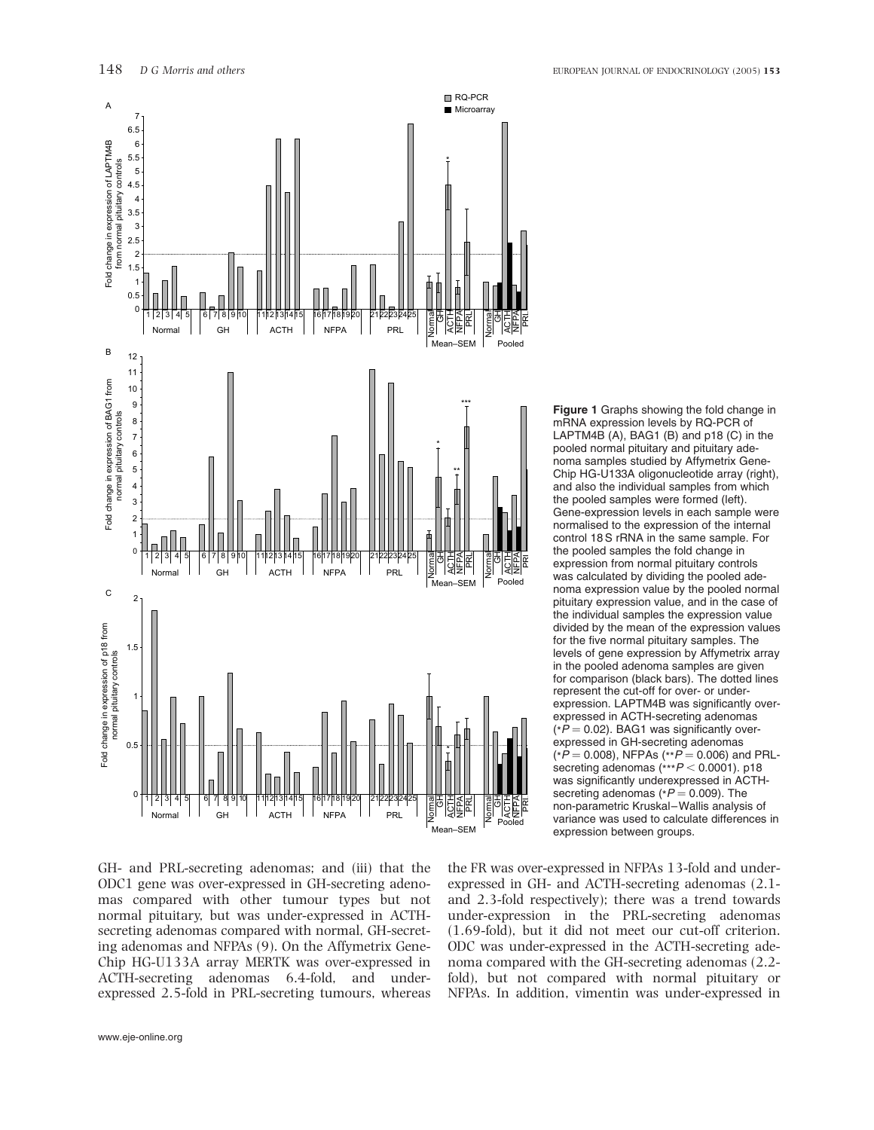

Figure 1 Graphs showing the fold change in mRNA expression levels by RQ-PCR of LAPTM4B (A), BAG1 (B) and p18 (C) in the pooled normal pituitary and pituitary adenoma samples studied by Affymetrix Gene-Chip HG-U133A oligonucleotide array (right), and also the individual samples from which the pooled samples were formed (left). Gene-expression levels in each sample were normalised to the expression of the internal control 18 S rRNA in the same sample. For the pooled samples the fold change in expression from normal pituitary controls was calculated by dividing the pooled adenoma expression value by the pooled normal pituitary expression value, and in the case of the individual samples the expression value divided by the mean of the expression values for the five normal pituitary samples. The levels of gene expression by Affymetrix array in the pooled adenoma samples are given for comparison (black bars). The dotted lines represent the cut-off for over- or underexpression. LAPTM4B was significantly overexpressed in ACTH-secreting adenomas  $(*P = 0.02)$ . BAG1 was significantly overexpressed in GH-secreting adenomas  $(*P = 0.008)$ , NFPAs  $(*P = 0.006)$  and PRLsecreting adenomas  $(**P < 0.0001)$ . p18 was significantly underexpressed in ACTHsecreting adenomas ( $P = 0.009$ ). The non-parametric Kruskal–Wallis analysis of variance was used to calculate differences in expression between groups.

GH- and PRL-secreting adenomas; and (iii) that the ODC1 gene was over-expressed in GH-secreting adenomas compared with other tumour types but not normal pituitary, but was under-expressed in ACTHsecreting adenomas compared with normal, GH-secreting adenomas and NFPAs (9). On the Affymetrix Gene-Chip HG-U133A array MERTK was over-expressed in ACTH-secreting adenomas 6.4-fold, and underexpressed 2.5-fold in PRL-secreting tumours, whereas the FR was over-expressed in NFPAs 13-fold and underexpressed in GH- and ACTH-secreting adenomas (2.1 and 2.3-fold respectively); there was a trend towards under-expression in the PRL-secreting adenomas (1.69-fold), but it did not meet our cut-off criterion. ODC was under-expressed in the ACTH-secreting adenoma compared with the GH-secreting adenomas (2.2 fold), but not compared with normal pituitary or NFPAs. In addition, vimentin was under-expressed in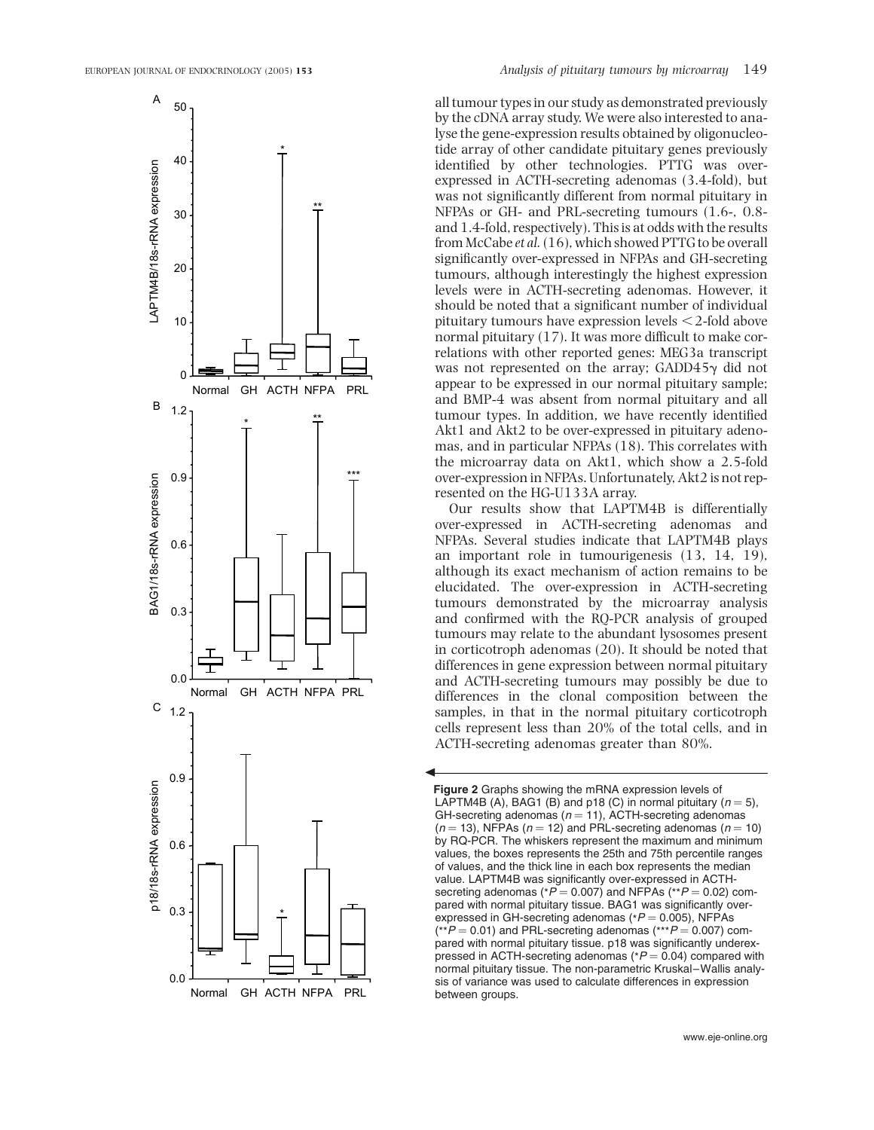

all tumour types in our study as demonstrated previously by the cDNA array study. We were also interested to analyse the gene-expression results obtained by oligonucleotide array of other candidate pituitary genes previously identified by other technologies. PTTG was overexpressed in ACTH-secreting adenomas (3.4-fold), but was not significantly different from normal pituitary in NFPAs or GH- and PRL-secreting tumours (1.6-, 0.8 and 1.4-fold, respectively). This is at odds with the results from McCabe et al.(16), which showed PTTG to be overall significantly over-expressed in NFPAs and GH-secreting tumours, although interestingly the highest expression levels were in ACTH-secreting adenomas. However, it should be noted that a significant number of individual pituitary tumours have expression levels  $<$  2-fold above normal pituitary (17). It was more difficult to make correlations with other reported genes: MEG3a transcript was not represented on the array;  $GADD45\gamma$  did not appear to be expressed in our normal pituitary sample; and BMP-4 was absent from normal pituitary and all tumour types. In addition, we have recently identified Akt1 and Akt2 to be over-expressed in pituitary adenomas, and in particular NFPAs (18). This correlates with the microarray data on Akt1, which show a 2.5-fold over-expression in NFPAs. Unfortunately, Akt2 is not represented on the HG-U133A array.

Our results show that LAPTM4B is differentially over-expressed in ACTH-secreting adenomas and NFPAs. Several studies indicate that LAPTM4B plays an important role in tumourigenesis (13, 14, 19), although its exact mechanism of action remains to be elucidated. The over-expression in ACTH-secreting tumours demonstrated by the microarray analysis and confirmed with the RQ-PCR analysis of grouped tumours may relate to the abundant lysosomes present in corticotroph adenomas (20). It should be noted that differences in gene expression between normal pituitary and ACTH-secreting tumours may possibly be due to differences in the clonal composition between the samples, in that in the normal pituitary corticotroph cells represent less than 20% of the total cells, and in ACTH-secreting adenomas greater than 80%.

*R*

Figure 2 Graphs showing the mRNA expression levels of LAPTM4B (A), BAG1 (B) and p18 (C) in normal pituitary ( $n = 5$ ), GH-secreting adenomas ( $n = 11$ ), ACTH-secreting adenomas  $(n = 13)$ , NFPAs  $(n = 12)$  and PRL-secreting adenomas  $(n = 10)$ by RQ-PCR. The whiskers represent the maximum and minimum values, the boxes represents the 25th and 75th percentile ranges of values, and the thick line in each box represents the median value. LAPTM4B was significantly over-expressed in ACTHsecreting adenomas ( $P = 0.007$ ) and NFPAs ( $P = 0.02$ ) compared with normal pituitary tissue. BAG1 was significantly overexpressed in GH-secreting adenomas ( $P = 0.005$ ), NFPAs  $(*P = 0.01)$  and PRL-secreting adenomas  $(***P = 0.007)$  compared with normal pituitary tissue. p18 was significantly underexpressed in ACTH-secreting adenomas ( $P = 0.04$ ) compared with normal pituitary tissue. The non-parametric Kruskal–Wallis analysis of variance was used to calculate differences in expression between groups.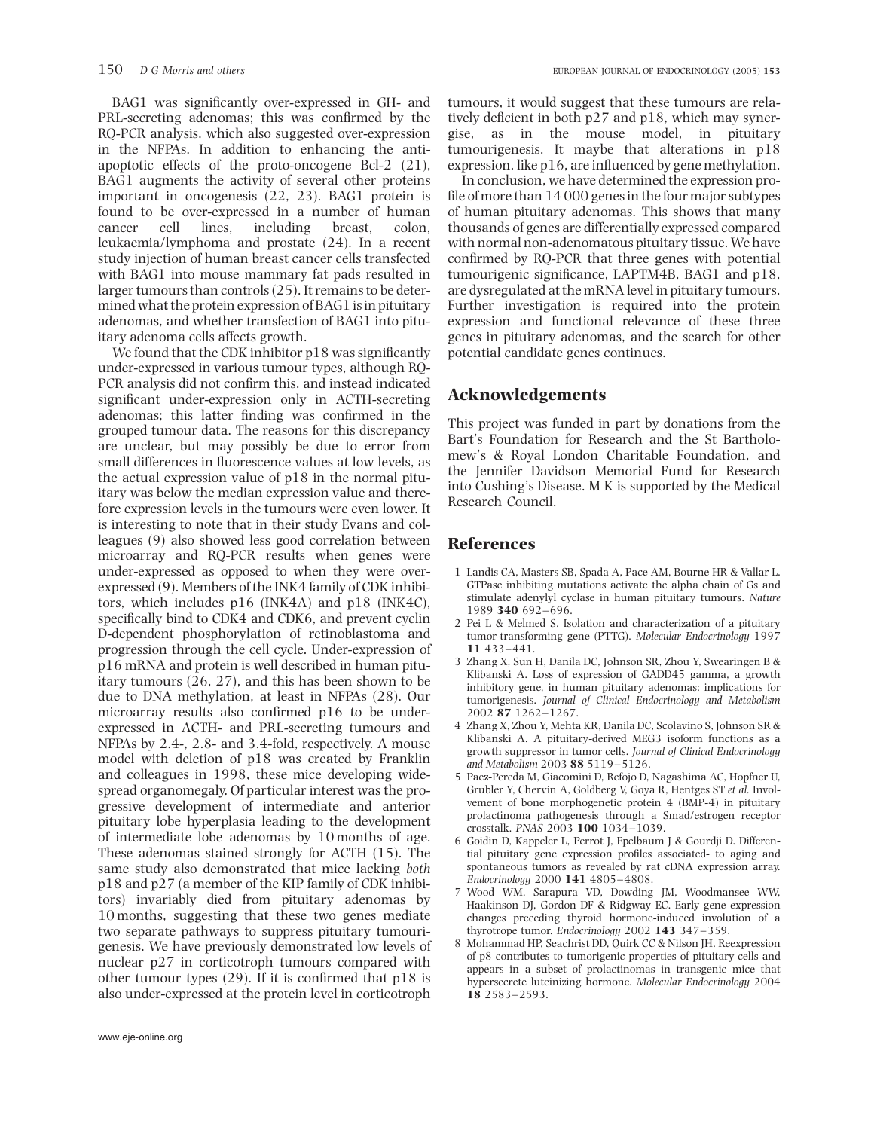BAG1 was significantly over-expressed in GH- and PRL-secreting adenomas; this was confirmed by the RQ-PCR analysis, which also suggested over-expression in the NFPAs. In addition to enhancing the antiapoptotic effects of the proto-oncogene Bcl-2 (21), BAG1 augments the activity of several other proteins important in oncogenesis (22, 23). BAG1 protein is found to be over-expressed in a number of human cancer cell lines, including breast, colon, leukaemia/lymphoma and prostate (24). In a recent study injection of human breast cancer cells transfected with BAG1 into mouse mammary fat pads resulted in larger tumours than controls (25). It remains to be determined what the protein expression of BAG1 is in pituitary adenomas, and whether transfection of BAG1 into pituitary adenoma cells affects growth.

We found that the CDK inhibitor p18 was significantly under-expressed in various tumour types, although RQ-PCR analysis did not confirm this, and instead indicated significant under-expression only in ACTH-secreting adenomas; this latter finding was confirmed in the grouped tumour data. The reasons for this discrepancy are unclear, but may possibly be due to error from small differences in fluorescence values at low levels, as the actual expression value of p18 in the normal pituitary was below the median expression value and therefore expression levels in the tumours were even lower. It is interesting to note that in their study Evans and colleagues (9) also showed less good correlation between microarray and RQ-PCR results when genes were under-expressed as opposed to when they were overexpressed (9). Members of the INK4 family of CDK inhibitors, which includes p16 (INK4A) and p18 (INK4C), specifically bind to CDK4 and CDK6, and prevent cyclin D-dependent phosphorylation of retinoblastoma and progression through the cell cycle. Under-expression of p16 mRNA and protein is well described in human pituitary tumours (26, 27), and this has been shown to be due to DNA methylation, at least in NFPAs (28). Our microarray results also confirmed p16 to be underexpressed in ACTH- and PRL-secreting tumours and NFPAs by 2.4-, 2.8- and 3.4-fold, respectively. A mouse model with deletion of p18 was created by Franklin and colleagues in 1998, these mice developing widespread organomegaly. Of particular interest was the progressive development of intermediate and anterior pituitary lobe hyperplasia leading to the development of intermediate lobe adenomas by 10 months of age. These adenomas stained strongly for ACTH (15). The same study also demonstrated that mice lacking both p18 and p27 (a member of the KIP family of CDK inhibitors) invariably died from pituitary adenomas by 10 months, suggesting that these two genes mediate two separate pathways to suppress pituitary tumourigenesis. We have previously demonstrated low levels of nuclear p27 in corticotroph tumours compared with other tumour types (29). If it is confirmed that p18 is also under-expressed at the protein level in corticotroph

www.eje-online.org

tumours, it would suggest that these tumours are relatively deficient in both p27 and p18, which may synergise, as in the mouse model, in pituitary tumourigenesis. It maybe that alterations in p18 expression, like p16, are influenced by gene methylation.

In conclusion, we have determined the expression profile of more than 14 000 genes in the four major subtypes of human pituitary adenomas. This shows that many thousands of genes are differentially expressed compared with normal non-adenomatous pituitary tissue. We have confirmed by RQ-PCR that three genes with potential tumourigenic significance, LAPTM4B, BAG1 and p18, are dysregulated at the mRNA level in pituitary tumours. Further investigation is required into the protein expression and functional relevance of these three genes in pituitary adenomas, and the search for other potential candidate genes continues.

### Acknowledgements

This project was funded in part by donations from the Bart's Foundation for Research and the St Bartholomew's & Royal London Charitable Foundation, and the Jennifer Davidson Memorial Fund for Research into Cushing's Disease. M K is supported by the Medical Research Council.

#### References

- 1 Landis CA, Masters SB, Spada A, Pace AM, Bourne HR & Vallar L. GTPase inhibiting mutations activate the alpha chain of Gs and stimulate adenylyl cyclase in human pituitary tumours. Nature 1989 340 692–696.
- 2 Pei L & Melmed S. Isolation and characterization of a pituitary tumor-transforming gene (PTTG). Molecular Endocrinology 1997 11 433–441.
- 3 Zhang X, Sun H, Danila DC, Johnson SR, Zhou Y, Swearingen B & Klibanski A. Loss of expression of GADD45 gamma, a growth inhibitory gene, in human pituitary adenomas: implications for tumorigenesis. Journal of Clinical Endocrinology and Metabolism 2002 87 1262–1267.
- 4 Zhang X, Zhou Y, Mehta KR, Danila DC, Scolavino S, Johnson SR & Klibanski A. A pituitary-derived MEG3 isoform functions as a growth suppressor in tumor cells. Journal of Clinical Endocrinology and Metabolism 2003 88 5119–5126.
- 5 Paez-Pereda M, Giacomini D, Refojo D, Nagashima AC, Hopfner U, Grubler Y, Chervin A, Goldberg V, Goya R, Hentges ST et al. Involvement of bone morphogenetic protein 4 (BMP-4) in pituitary prolactinoma pathogenesis through a Smad/estrogen receptor crosstalk. PNAS 2003 100 1034–1039.
- 6 Goidin D, Kappeler L, Perrot J, Epelbaum J & Gourdji D. Differential pituitary gene expression profiles associated- to aging and spontaneous tumors as revealed by rat cDNA expression array. Endocrinology 2000 141 4805–4808.
- 7 Wood WM, Sarapura VD, Dowding JM, Woodmansee WW, Haakinson DJ, Gordon DF & Ridgway EC. Early gene expression changes preceding thyroid hormone-induced involution of a thyrotrope tumor. Endocrinology 2002 143 347-359.
- 8 Mohammad HP, Seachrist DD, Quirk CC & Nilson JH. Reexpression of p8 contributes to tumorigenic properties of pituitary cells and appears in a subset of prolactinomas in transgenic mice that hypersecrete luteinizing hormone. Molecular Endocrinology 2004 18 2583–2593.